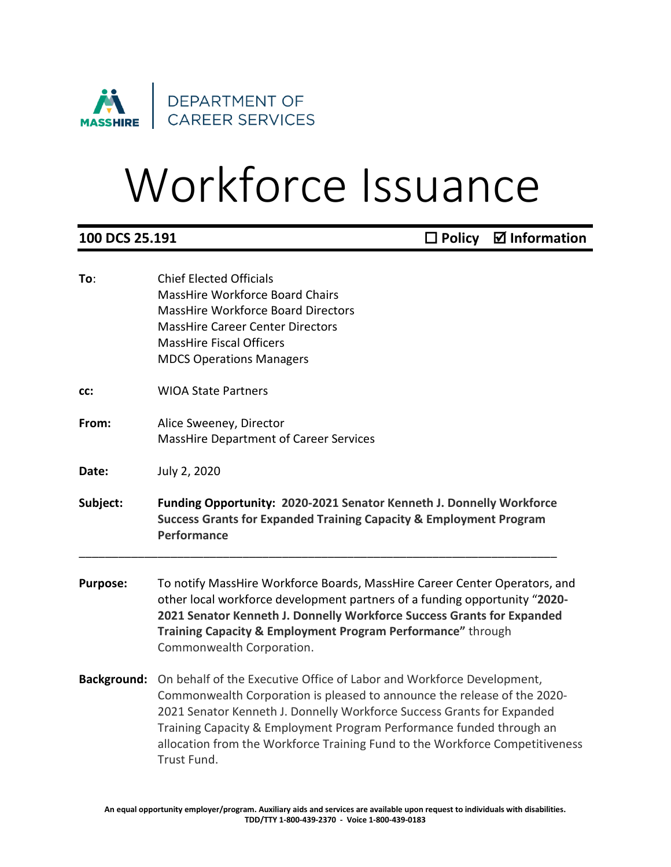

## Workforce Issuance

| 100 DCS 25.191     | $\Box$ Policy $\Box$ Information                                                                                                                                                                                                                                                                                                                                                                   |
|--------------------|----------------------------------------------------------------------------------------------------------------------------------------------------------------------------------------------------------------------------------------------------------------------------------------------------------------------------------------------------------------------------------------------------|
| To:                | <b>Chief Elected Officials</b><br>MassHire Workforce Board Chairs<br><b>MassHire Workforce Board Directors</b><br><b>MassHire Career Center Directors</b><br><b>MassHire Fiscal Officers</b><br><b>MDCS Operations Managers</b>                                                                                                                                                                    |
| CC:                | <b>WIOA State Partners</b>                                                                                                                                                                                                                                                                                                                                                                         |
| From:              | Alice Sweeney, Director<br><b>MassHire Department of Career Services</b>                                                                                                                                                                                                                                                                                                                           |
| Date:              | July 2, 2020                                                                                                                                                                                                                                                                                                                                                                                       |
| Subject:           | Funding Opportunity: 2020-2021 Senator Kenneth J. Donnelly Workforce<br><b>Success Grants for Expanded Training Capacity &amp; Employment Program</b><br>Performance                                                                                                                                                                                                                               |
| <b>Purpose:</b>    | To notify MassHire Workforce Boards, MassHire Career Center Operators, and<br>other local workforce development partners of a funding opportunity "2020-<br>2021 Senator Kenneth J. Donnelly Workforce Success Grants for Expanded<br>Training Capacity & Employment Program Performance" through<br>Commonwealth Corporation.                                                                     |
| <b>Background:</b> | On behalf of the Executive Office of Labor and Workforce Development,<br>Commonwealth Corporation is pleased to announce the release of the 2020-<br>2021 Senator Kenneth J. Donnelly Workforce Success Grants for Expanded<br>Training Capacity & Employment Program Performance funded through an<br>allocation from the Workforce Training Fund to the Workforce Competitiveness<br>Trust Fund. |